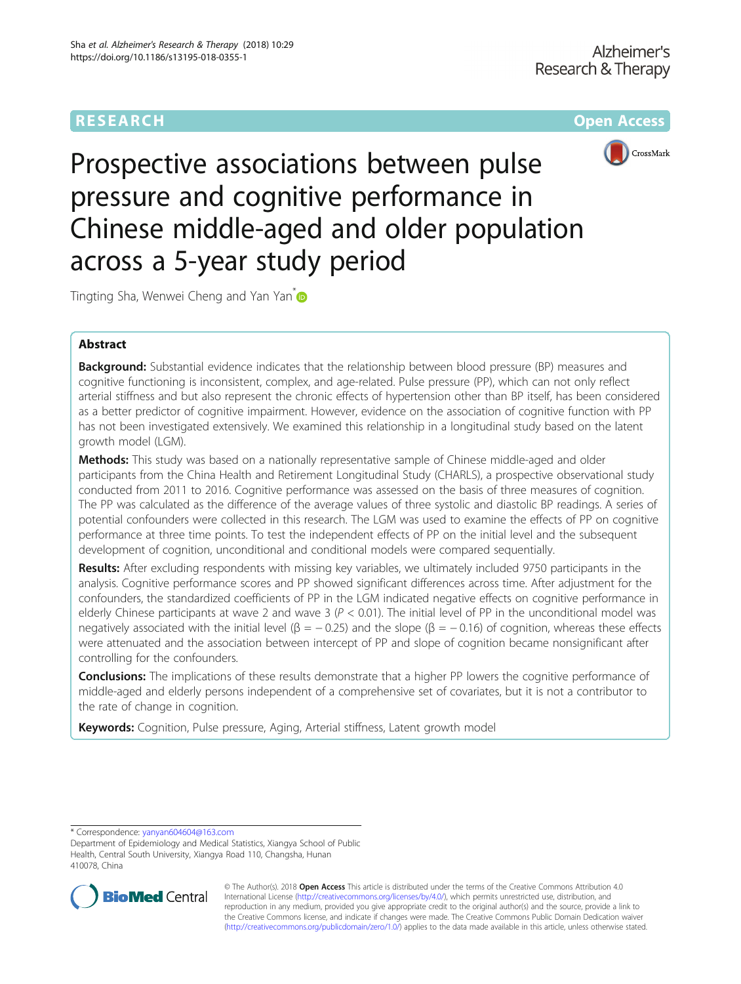# **RESEARCH CHEAR CHEAR CHEAR CHEAR CHEAR CHEAR CHEAR CHEAR CHEAR CHEAR CHEAR CHEAR CHEAR CHEAR CHEAR CHEAR CHEAR**



Prospective associations between pulse pressure and cognitive performance in Chinese middle-aged and older population across a 5-year study period

Tingting Sha, Wenwei Cheng and Yan Yan<sup>to</sup>

## Abstract

**Background:** Substantial evidence indicates that the relationship between blood pressure (BP) measures and cognitive functioning is inconsistent, complex, and age-related. Pulse pressure (PP), which can not only reflect arterial stiffness and but also represent the chronic effects of hypertension other than BP itself, has been considered as a better predictor of cognitive impairment. However, evidence on the association of cognitive function with PP has not been investigated extensively. We examined this relationship in a longitudinal study based on the latent growth model (LGM).

Methods: This study was based on a nationally representative sample of Chinese middle-aged and older participants from the China Health and Retirement Longitudinal Study (CHARLS), a prospective observational study conducted from 2011 to 2016. Cognitive performance was assessed on the basis of three measures of cognition. The PP was calculated as the difference of the average values of three systolic and diastolic BP readings. A series of potential confounders were collected in this research. The LGM was used to examine the effects of PP on cognitive performance at three time points. To test the independent effects of PP on the initial level and the subsequent development of cognition, unconditional and conditional models were compared sequentially.

Results: After excluding respondents with missing key variables, we ultimately included 9750 participants in the analysis. Cognitive performance scores and PP showed significant differences across time. After adjustment for the confounders, the standardized coefficients of PP in the LGM indicated negative effects on cognitive performance in elderly Chinese participants at wave 2 and wave 3 ( $P < 0.01$ ). The initial level of PP in the unconditional model was negatively associated with the initial level (β = -0.25) and the slope (β = -0.16) of cognition, whereas these effects were attenuated and the association between intercept of PP and slope of cognition became nonsignificant after controlling for the confounders.

**Conclusions:** The implications of these results demonstrate that a higher PP lowers the cognitive performance of middle-aged and elderly persons independent of a comprehensive set of covariates, but it is not a contributor to the rate of change in cognition.

Keywords: Cognition, Pulse pressure, Aging, Arterial stiffness, Latent growth model

\* Correspondence: [yanyan604604@163.com](mailto:yanyan604604@163.com)

Department of Epidemiology and Medical Statistics, Xiangya School of Public Health, Central South University, Xiangya Road 110, Changsha, Hunan 410078, China



© The Author(s). 2018 Open Access This article is distributed under the terms of the Creative Commons Attribution 4.0 International License [\(http://creativecommons.org/licenses/by/4.0/](http://creativecommons.org/licenses/by/4.0/)), which permits unrestricted use, distribution, and reproduction in any medium, provided you give appropriate credit to the original author(s) and the source, provide a link to the Creative Commons license, and indicate if changes were made. The Creative Commons Public Domain Dedication waiver [\(http://creativecommons.org/publicdomain/zero/1.0/](http://creativecommons.org/publicdomain/zero/1.0/)) applies to the data made available in this article, unless otherwise stated.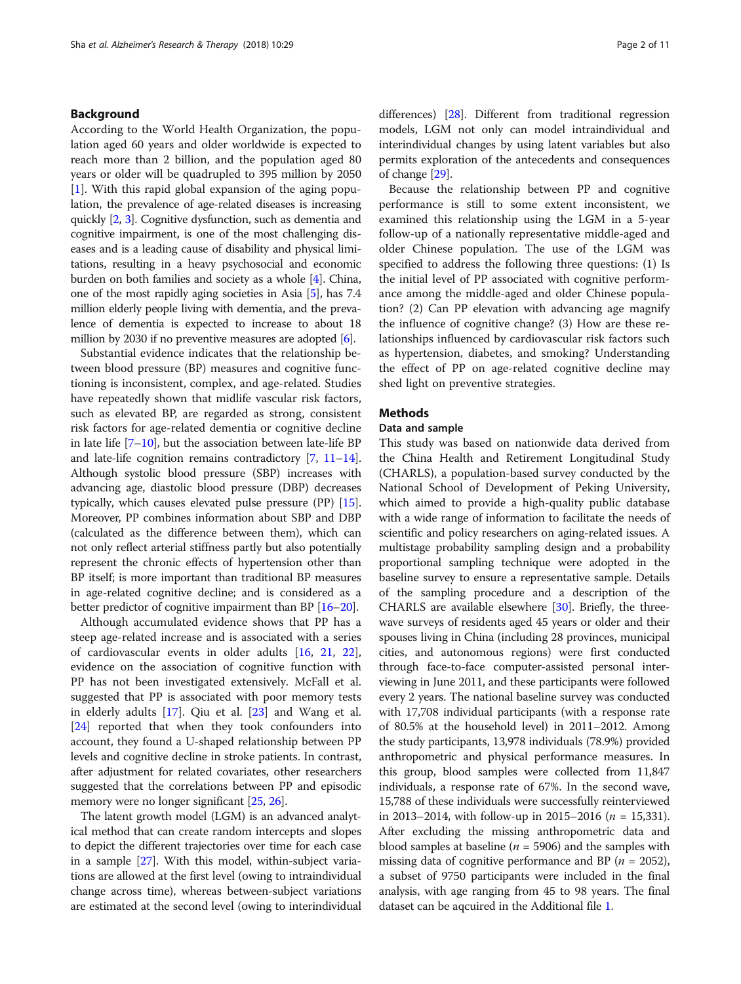## Background

According to the World Health Organization, the population aged 60 years and older worldwide is expected to reach more than 2 billion, and the population aged 80 years or older will be quadrupled to 395 million by 2050 [[1\]](#page-9-0). With this rapid global expansion of the aging population, the prevalence of age-related diseases is increasing quickly [[2,](#page-9-0) [3](#page-9-0)]. Cognitive dysfunction, such as dementia and cognitive impairment, is one of the most challenging diseases and is a leading cause of disability and physical limitations, resulting in a heavy psychosocial and economic burden on both families and society as a whole [[4](#page-9-0)]. China, one of the most rapidly aging societies in Asia [\[5](#page-9-0)], has 7.4 million elderly people living with dementia, and the prevalence of dementia is expected to increase to about 18 million by 2030 if no preventive measures are adopted [\[6](#page-9-0)].

Substantial evidence indicates that the relationship between blood pressure (BP) measures and cognitive functioning is inconsistent, complex, and age-related. Studies have repeatedly shown that midlife vascular risk factors, such as elevated BP, are regarded as strong, consistent risk factors for age-related dementia or cognitive decline in late life  $[7-10]$  $[7-10]$  $[7-10]$  $[7-10]$  $[7-10]$ , but the association between late-life BP and late-life cognition remains contradictory [\[7,](#page-9-0) [11](#page-9-0)–[14](#page-9-0)]. Although systolic blood pressure (SBP) increases with advancing age, diastolic blood pressure (DBP) decreases typically, which causes elevated pulse pressure (PP) [[15](#page-9-0)]. Moreover, PP combines information about SBP and DBP (calculated as the difference between them), which can not only reflect arterial stiffness partly but also potentially represent the chronic effects of hypertension other than BP itself; is more important than traditional BP measures in age-related cognitive decline; and is considered as a better predictor of cognitive impairment than BP [\[16](#page-9-0)–[20](#page-9-0)].

Although accumulated evidence shows that PP has a steep age-related increase and is associated with a series of cardiovascular events in older adults [\[16,](#page-9-0) [21,](#page-9-0) [22](#page-9-0)], evidence on the association of cognitive function with PP has not been investigated extensively. McFall et al. suggested that PP is associated with poor memory tests in elderly adults [[17](#page-9-0)]. Qiu et al. [[23\]](#page-9-0) and Wang et al. [[24\]](#page-9-0) reported that when they took confounders into account, they found a U-shaped relationship between PP levels and cognitive decline in stroke patients. In contrast, after adjustment for related covariates, other researchers suggested that the correlations between PP and episodic memory were no longer significant [[25,](#page-9-0) [26\]](#page-9-0).

The latent growth model (LGM) is an advanced analytical method that can create random intercepts and slopes to depict the different trajectories over time for each case in a sample [[27](#page-9-0)]. With this model, within-subject variations are allowed at the first level (owing to intraindividual change across time), whereas between-subject variations are estimated at the second level (owing to interindividual differences) [\[28](#page-9-0)]. Different from traditional regression models, LGM not only can model intraindividual and interindividual changes by using latent variables but also permits exploration of the antecedents and consequences of change [\[29\]](#page-9-0).

Because the relationship between PP and cognitive performance is still to some extent inconsistent, we examined this relationship using the LGM in a 5-year follow-up of a nationally representative middle-aged and older Chinese population. The use of the LGM was specified to address the following three questions: (1) Is the initial level of PP associated with cognitive performance among the middle-aged and older Chinese population? (2) Can PP elevation with advancing age magnify the influence of cognitive change? (3) How are these relationships influenced by cardiovascular risk factors such as hypertension, diabetes, and smoking? Understanding the effect of PP on age-related cognitive decline may shed light on preventive strategies.

#### Methods

## Data and sample

This study was based on nationwide data derived from the China Health and Retirement Longitudinal Study (CHARLS), a population-based survey conducted by the National School of Development of Peking University, which aimed to provide a high-quality public database with a wide range of information to facilitate the needs of scientific and policy researchers on aging-related issues. A multistage probability sampling design and a probability proportional sampling technique were adopted in the baseline survey to ensure a representative sample. Details of the sampling procedure and a description of the CHARLS are available elsewhere [\[30\]](#page-9-0). Briefly, the threewave surveys of residents aged 45 years or older and their spouses living in China (including 28 provinces, municipal cities, and autonomous regions) were first conducted through face-to-face computer-assisted personal interviewing in June 2011, and these participants were followed every 2 years. The national baseline survey was conducted with 17,708 individual participants (with a response rate of 80.5% at the household level) in 2011–2012. Among the study participants, 13,978 individuals (78.9%) provided anthropometric and physical performance measures. In this group, blood samples were collected from 11,847 individuals, a response rate of 67%. In the second wave, 15,788 of these individuals were successfully reinterviewed in 2013–2014, with follow-up in 2015–2016 ( $n = 15,331$ ). After excluding the missing anthropometric data and blood samples at baseline ( $n = 5906$ ) and the samples with missing data of cognitive performance and BP ( $n = 2052$ ), a subset of 9750 participants were included in the final analysis, with age ranging from 45 to 98 years. The final dataset can be aqcuired in the Additional file [1](#page-8-0).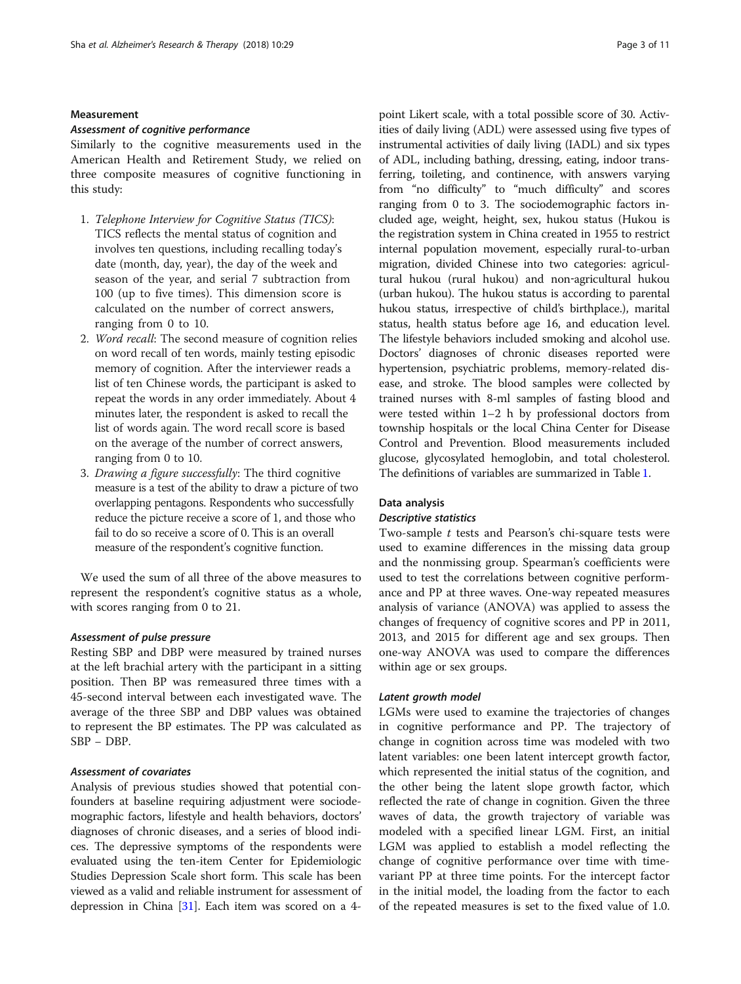## Measurement

## Assessment of cognitive performance

Similarly to the cognitive measurements used in the American Health and Retirement Study, we relied on three composite measures of cognitive functioning in this study:

- 1. Telephone Interview for Cognitive Status (TICS): TICS reflects the mental status of cognition and involves ten questions, including recalling today's date (month, day, year), the day of the week and season of the year, and serial 7 subtraction from 100 (up to five times). This dimension score is calculated on the number of correct answers, ranging from 0 to 10.
- 2. Word recall: The second measure of cognition relies on word recall of ten words, mainly testing episodic memory of cognition. After the interviewer reads a list of ten Chinese words, the participant is asked to repeat the words in any order immediately. About 4 minutes later, the respondent is asked to recall the list of words again. The word recall score is based on the average of the number of correct answers, ranging from 0 to 10.
- 3. Drawing a figure successfully: The third cognitive measure is a test of the ability to draw a picture of two overlapping pentagons. Respondents who successfully reduce the picture receive a score of 1, and those who fail to do so receive a score of 0. This is an overall measure of the respondent's cognitive function.

We used the sum of all three of the above measures to represent the respondent's cognitive status as a whole, with scores ranging from 0 to 21.

## Assessment of pulse pressure

Resting SBP and DBP were measured by trained nurses at the left brachial artery with the participant in a sitting position. Then BP was remeasured three times with a 45-second interval between each investigated wave. The average of the three SBP and DBP values was obtained to represent the BP estimates. The PP was calculated as SBP − DBP.

## Assessment of covariates

Analysis of previous studies showed that potential confounders at baseline requiring adjustment were sociodemographic factors, lifestyle and health behaviors, doctors' diagnoses of chronic diseases, and a series of blood indices. The depressive symptoms of the respondents were evaluated using the ten-item Center for Epidemiologic Studies Depression Scale short form. This scale has been viewed as a valid and reliable instrument for assessment of depression in China [\[31\]](#page-9-0). Each item was scored on a 4-

point Likert scale, with a total possible score of 30. Activities of daily living (ADL) were assessed using five types of instrumental activities of daily living (IADL) and six types of ADL, including bathing, dressing, eating, indoor transferring, toileting, and continence, with answers varying from "no difficulty" to "much difficulty" and scores ranging from 0 to 3. The sociodemographic factors included age, weight, height, sex, hukou status (Hukou is the registration system in China created in 1955 to restrict internal population movement, especially rural-to-urban migration, divided Chinese into two categories: agricultural hukou (rural hukou) and non‐agricultural hukou (urban hukou). The hukou status is according to parental hukou status, irrespective of child's birthplace.), marital status, health status before age 16, and education level. The lifestyle behaviors included smoking and alcohol use. Doctors' diagnoses of chronic diseases reported were hypertension, psychiatric problems, memory-related disease, and stroke. The blood samples were collected by trained nurses with 8-ml samples of fasting blood and were tested within 1–2 h by professional doctors from township hospitals or the local China Center for Disease Control and Prevention. Blood measurements included glucose, glycosylated hemoglobin, and total cholesterol. The definitions of variables are summarized in Table [1](#page-3-0).

## Data analysis

#### Descriptive statistics

Two-sample  $t$  tests and Pearson's chi-square tests were used to examine differences in the missing data group and the nonmissing group. Spearman's coefficients were used to test the correlations between cognitive performance and PP at three waves. One-way repeated measures analysis of variance (ANOVA) was applied to assess the changes of frequency of cognitive scores and PP in 2011, 2013, and 2015 for different age and sex groups. Then one-way ANOVA was used to compare the differences within age or sex groups.

#### Latent growth model

LGMs were used to examine the trajectories of changes in cognitive performance and PP. The trajectory of change in cognition across time was modeled with two latent variables: one been latent intercept growth factor, which represented the initial status of the cognition, and the other being the latent slope growth factor, which reflected the rate of change in cognition. Given the three waves of data, the growth trajectory of variable was modeled with a specified linear LGM. First, an initial LGM was applied to establish a model reflecting the change of cognitive performance over time with timevariant PP at three time points. For the intercept factor in the initial model, the loading from the factor to each of the repeated measures is set to the fixed value of 1.0.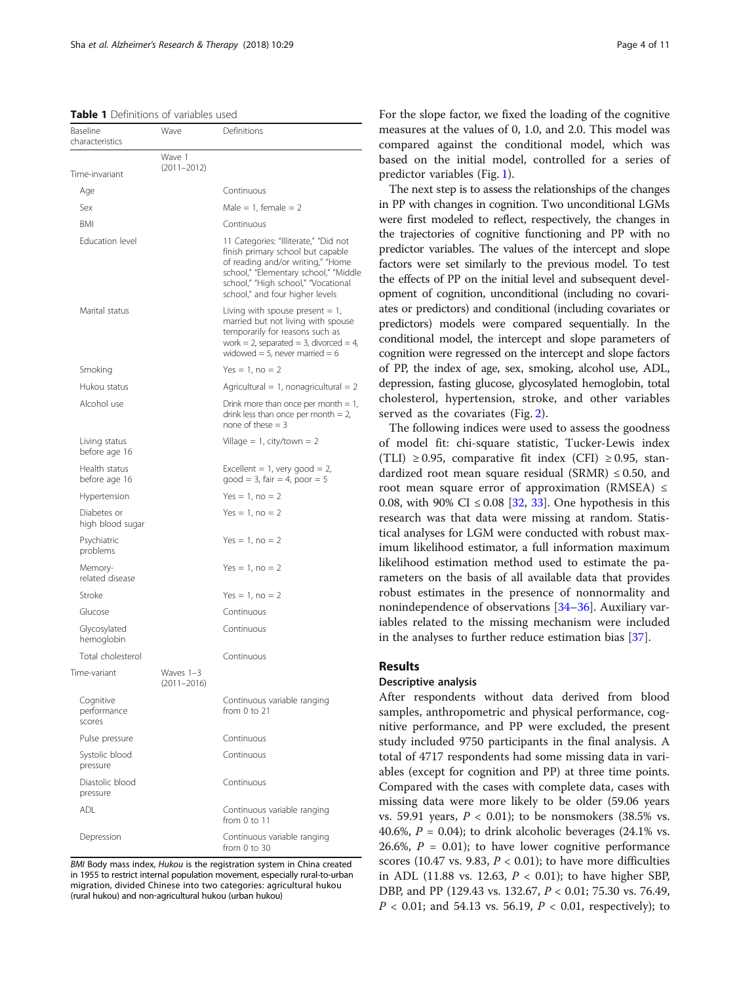<span id="page-3-0"></span>Table 1 Definitions of variables used

| Baseline<br>characteristics        | Wave                         | Definitions                                                                                                                                                                                                                        |
|------------------------------------|------------------------------|------------------------------------------------------------------------------------------------------------------------------------------------------------------------------------------------------------------------------------|
|                                    | Wave 1                       |                                                                                                                                                                                                                                    |
| Time-invariant                     | $(2011 - 2012)$              |                                                                                                                                                                                                                                    |
| Age                                |                              | Continuous                                                                                                                                                                                                                         |
| Sex                                |                              | Male = 1, female = $2$                                                                                                                                                                                                             |
| <b>BMI</b>                         |                              | Continuous                                                                                                                                                                                                                         |
| Education level                    |                              | 11 Categories: "Illiterate," "Did not<br>finish primary school but capable<br>of reading and/or writing," "Home<br>school," "Elementary school," "Middle<br>school," "High school," "Vocational<br>school," and four higher levels |
| Marital status                     |                              | Living with spouse present $= 1$ ,<br>married but not living with spouse<br>temporarily for reasons such as<br>work = 2, separated = 3, divorced = 4,<br>widowed = 5, never married = $6$                                          |
| Smoking                            |                              | $Yes = 1, no = 2$                                                                                                                                                                                                                  |
| Hukou status                       |                              | Agricultural = 1, nonagricultural = 2                                                                                                                                                                                              |
| Alcohol use                        |                              | Drink more than once per month $= 1$ ,<br>drink less than once per month $= 2$ ,<br>none of these $=$ 3                                                                                                                            |
| Living status<br>before age 16     |                              | Village = 1, city/town = 2                                                                                                                                                                                                         |
| Health status<br>before age 16     |                              | Excellent = 1, very good = 2,<br>$good = 3$ , fair = 4, poor = 5                                                                                                                                                                   |
| Hypertension                       |                              | $Yes = 1, no = 2$                                                                                                                                                                                                                  |
| Diabetes or<br>high blood sugar    |                              | $Yes = 1, no = 2$                                                                                                                                                                                                                  |
| Psychiatric<br>problems            |                              | $Yes = 1, no = 2$                                                                                                                                                                                                                  |
| Memory-<br>related disease         |                              | $Yes = 1, no = 2$                                                                                                                                                                                                                  |
| Stroke                             |                              | $Yes = 1, no = 2$                                                                                                                                                                                                                  |
| Glucose                            |                              | Continuous                                                                                                                                                                                                                         |
| Glycosylated<br>hemoglobin         |                              | Continuous                                                                                                                                                                                                                         |
| Total cholesterol                  |                              | Continuous                                                                                                                                                                                                                         |
| Time-variant                       | Waves 1-3<br>$(2011 - 2016)$ |                                                                                                                                                                                                                                    |
| Cognitive<br>performance<br>scores |                              | Continuous variable ranging<br>from $0$ to $21$                                                                                                                                                                                    |
| Pulse pressure                     |                              | Continuous                                                                                                                                                                                                                         |
| Systolic blood<br>pressure         |                              | Continuous                                                                                                                                                                                                                         |
| Diastolic blood<br>pressure        |                              | Continuous                                                                                                                                                                                                                         |
| ADL                                |                              | Continuous variable ranging<br>from 0 to 11                                                                                                                                                                                        |
| Depression                         |                              | Continuous variable ranging<br>from 0 to 30                                                                                                                                                                                        |

BMI Body mass index, Hukou is the registration system in China created in 1955 to restrict internal population movement, especially rural-to-urban migration, divided Chinese into two categories: agricultural hukou (rural hukou) and non‐agricultural hukou (urban hukou)

For the slope factor, we fixed the loading of the cognitive measures at the values of 0, 1.0, and 2.0. This model was compared against the conditional model, which was based on the initial model, controlled for a series of predictor variables (Fig. [1](#page-4-0)).

The next step is to assess the relationships of the changes in PP with changes in cognition. Two unconditional LGMs were first modeled to reflect, respectively, the changes in the trajectories of cognitive functioning and PP with no predictor variables. The values of the intercept and slope factors were set similarly to the previous model. To test the effects of PP on the initial level and subsequent development of cognition, unconditional (including no covariates or predictors) and conditional (including covariates or predictors) models were compared sequentially. In the conditional model, the intercept and slope parameters of cognition were regressed on the intercept and slope factors of PP, the index of age, sex, smoking, alcohol use, ADL, depression, fasting glucose, glycosylated hemoglobin, total cholesterol, hypertension, stroke, and other variables served as the covariates (Fig. [2](#page-4-0)).

The following indices were used to assess the goodness of model fit: chi-square statistic, Tucker-Lewis index (TLI)  $\geq$  0.95, comparative fit index (CFI)  $\geq$  0.95, standardized root mean square residual (SRMR)  $\leq$  0.50, and root mean square error of approximation (RMSEA)  $\leq$ 0.08, with 90% CI ≤ 0.08 [[32,](#page-10-0) [33\]](#page-10-0). One hypothesis in this research was that data were missing at random. Statistical analyses for LGM were conducted with robust maximum likelihood estimator, a full information maximum likelihood estimation method used to estimate the parameters on the basis of all available data that provides robust estimates in the presence of nonnormality and nonindependence of observations [[34](#page-10-0)–[36](#page-10-0)]. Auxiliary variables related to the missing mechanism were included in the analyses to further reduce estimation bias [\[37](#page-10-0)].

## Results

#### Descriptive analysis

After respondents without data derived from blood samples, anthropometric and physical performance, cognitive performance, and PP were excluded, the present study included 9750 participants in the final analysis. A total of 4717 respondents had some missing data in variables (except for cognition and PP) at three time points. Compared with the cases with complete data, cases with missing data were more likely to be older (59.06 years vs. 59.91 years,  $P < 0.01$ ); to be nonsmokers (38.5% vs. 40.6%,  $P = 0.04$ ); to drink alcoholic beverages (24.1% vs. 26.6%,  $P = 0.01$ ); to have lower cognitive performance scores (10.47 vs. 9.83,  $P < 0.01$ ); to have more difficulties in ADL (11.88 vs. 12.63,  $P < 0.01$ ); to have higher SBP, DBP, and PP (129.43 vs. 132.67, P < 0.01; 75.30 vs. 76.49,  $P < 0.01$ ; and 54.13 vs. 56.19,  $P < 0.01$ , respectively); to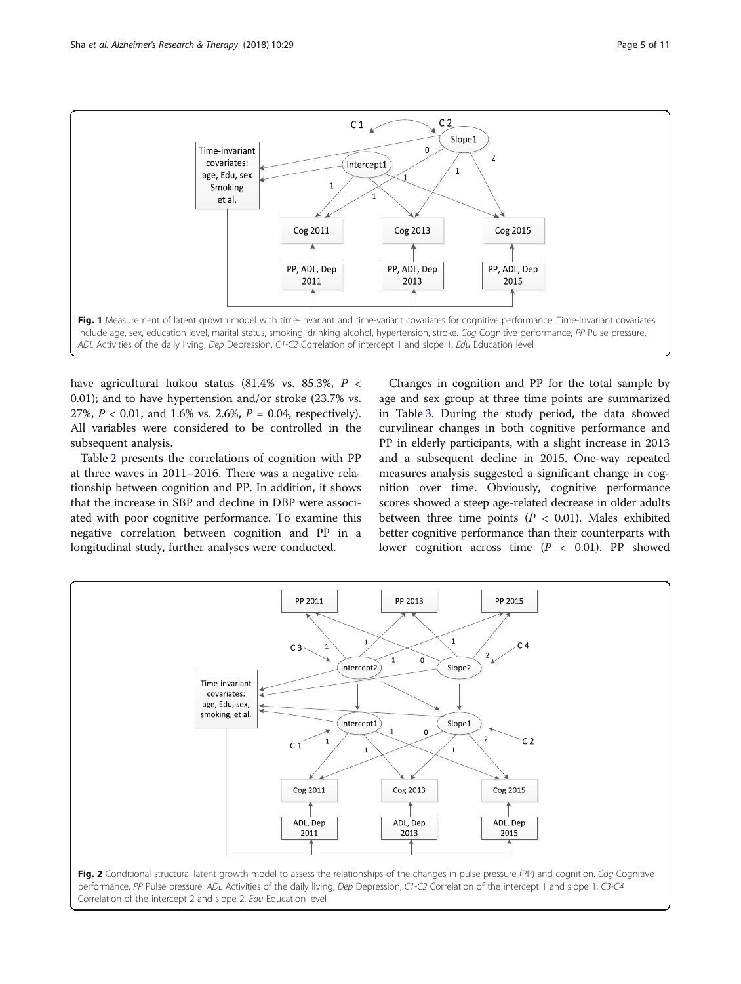<span id="page-4-0"></span>

have agricultural hukou status (81.4% vs. 85.3%, P < 0.01); and to have hypertension and/or stroke (23.7% vs. 27%,  $P < 0.01$ ; and 1.6% vs. 2.6%,  $P = 0.04$ , respectively). All variables were considered to be controlled in the subsequent analysis.

Table [2](#page-5-0) presents the correlations of cognition with PP at three waves in 2011–2016. There was a negative relationship between cognition and PP. In addition, it shows that the increase in SBP and decline in DBP were associated with poor cognitive performance. To examine this negative correlation between cognition and PP in a longitudinal study, further analyses were conducted.

Changes in cognition and PP for the total sample by age and sex group at three time points are summarized in Table [3.](#page-5-0) During the study period, the data showed curvilinear changes in both cognitive performance and PP in elderly participants, with a slight increase in 2013 and a subsequent decline in 2015. One-way repeated measures analysis suggested a significant change in cognition over time. Obviously, cognitive performance scores showed a steep age-related decrease in older adults between three time points ( $P < 0.01$ ). Males exhibited better cognitive performance than their counterparts with lower cognition across time  $(P < 0.01)$ . PP showed

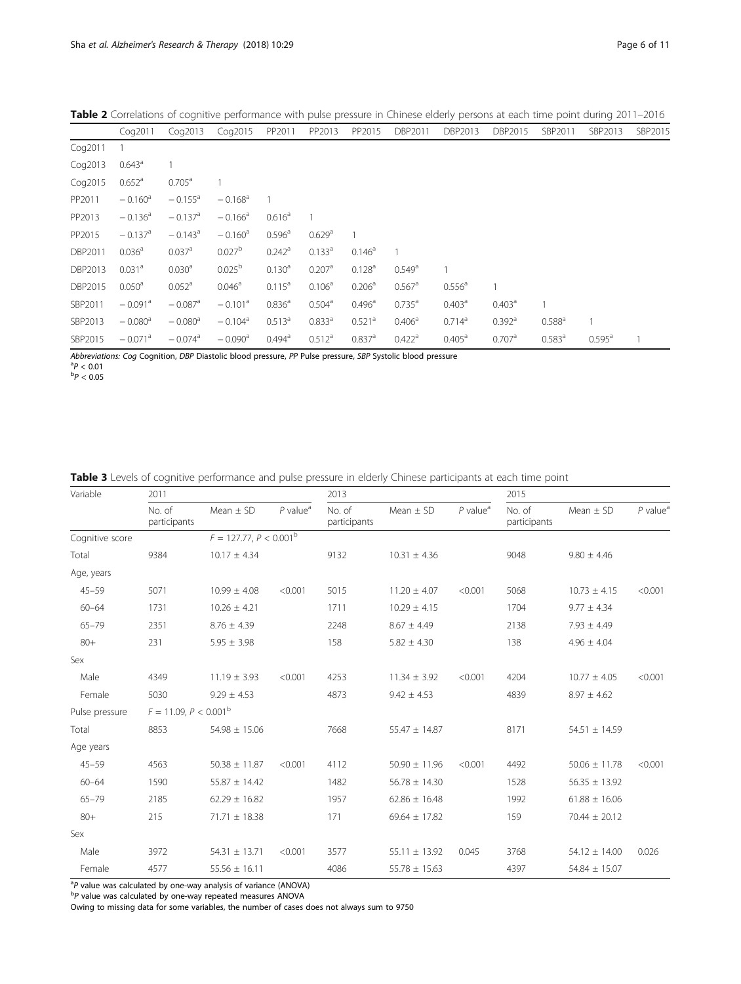<span id="page-5-0"></span>

|  |  |  |  |  |  | Table 2 Correlations of cognitive performance with pulse pressure in Chinese elderly persons at each time point during 2011-2016 |  |  |  |  |
|--|--|--|--|--|--|----------------------------------------------------------------------------------------------------------------------------------|--|--|--|--|
|--|--|--|--|--|--|----------------------------------------------------------------------------------------------------------------------------------|--|--|--|--|

|         | Cog2011               | Cog2013               | Cog2015               | PP2011               | PP2013             | PP2015               | DBP2011              | DBP2013              | DBP2015              | SBP2011              | SBP2013         | SBP2015 |
|---------|-----------------------|-----------------------|-----------------------|----------------------|--------------------|----------------------|----------------------|----------------------|----------------------|----------------------|-----------------|---------|
| Cog2011 |                       |                       |                       |                      |                    |                      |                      |                      |                      |                      |                 |         |
| Cog2013 | $0.643^{\circ}$       |                       |                       |                      |                    |                      |                      |                      |                      |                      |                 |         |
| Cog2015 | 0.652 <sup>a</sup>    | $0.705^{\text{a}}$    |                       |                      |                    |                      |                      |                      |                      |                      |                 |         |
| PP2011  | $-0.160$ <sup>a</sup> | $-0.155^{\circ}$      | $-0.168$ <sup>a</sup> |                      |                    |                      |                      |                      |                      |                      |                 |         |
| PP2013  | $-0.136$ <sup>a</sup> | $-0.137$ <sup>a</sup> | $-0.166^{\circ}$      | $0.616^a$            |                    |                      |                      |                      |                      |                      |                 |         |
| PP2015  | $-0.137$ <sup>a</sup> | $-0.143$ <sup>a</sup> | $-0.160$ <sup>a</sup> | 0.596 <sup>a</sup>   | 0.629 <sup>a</sup> |                      |                      |                      |                      |                      |                 |         |
| DBP2011 | 0.036 <sup>a</sup>    | $0.037$ <sup>a</sup>  | 0.027 <sup>b</sup>    | $0.242$ <sup>a</sup> | 0.133 <sup>a</sup> | $0.146^a$            |                      |                      |                      |                      |                 |         |
| DBP2013 | 0.031 <sup>a</sup>    | 0.030 <sup>a</sup>    | 0.025 <sup>b</sup>    | 0.130 <sup>a</sup>   | 0.207 <sup>a</sup> | 0.128 <sup>a</sup>   | $0.549$ <sup>a</sup> |                      |                      |                      |                 |         |
| DBP2015 | 0.050 <sup>a</sup>    | 0.052 <sup>a</sup>    | $0.046^{\text{a}}$    | $0.115^a$            | 0.106 <sup>a</sup> | 0.206 <sup>a</sup>   | $0.567$ <sup>a</sup> | 0.556 <sup>a</sup>   |                      |                      |                 |         |
| SBP2011 | $-0.091$ <sup>a</sup> | $-0.087$ <sup>a</sup> | $-0.101$ <sup>a</sup> | 0.836 <sup>a</sup>   | 0.504 <sup>a</sup> | $0.496^{\circ}$      | $0.735^{\circ}$      | 0.403 <sup>a</sup>   | 0.403 <sup>a</sup>   |                      |                 |         |
| SBP2013 | $-0.080$ <sup>a</sup> | $-0.080$ <sup>a</sup> | $-0.104$ <sup>a</sup> | $0.513^a$            | 0.833 <sup>a</sup> | 0.521 <sup>a</sup>   | 0.406 <sup>a</sup>   | $0.714$ <sup>a</sup> | $0.392$ <sup>a</sup> | $0.588$ <sup>a</sup> |                 |         |
| SBP2015 | $-0.071$ <sup>a</sup> | $-0.074$ <sup>a</sup> | $-0.090$ <sup>a</sup> | $0.494$ <sup>a</sup> | 0.512 <sup>a</sup> | $0.837$ <sup>a</sup> | $0.422$ <sup>a</sup> | 0.405 <sup>a</sup>   | 0.707a               | $0.583$ <sup>a</sup> | $0.595^{\circ}$ |         |

Abbreviations: Cog Cognition, DBP Diastolic blood pressure, PP Pulse pressure, SBP Systolic blood pressure

 ${}^{a}P < 0.01$  $\rm ^{b}P < 0.05$ 

Variable 2011 2013 2015 No. of participants Mean  $\pm$  SD  $P$  value<sup>a</sup> No. of participants Mean  $\pm$  SD  $P$  value<sup>a</sup> No. of participants Mean  $\pm$  SD  $P$  value<sup>a</sup> Cognitive score  $F = 127.77$ ,  $P < 0.001^b$  $\frac{3}{10.31 \pm 4.36}$   $\frac{9384}{10.17 \pm 4.34}$   $\frac{9132}{10.31 \pm 4.36}$   $\frac{9048}{9048}$   $\frac{9.80 \pm 4.46}{10.11 \pm 4.36}$ Age, years 45–59 5071 10.99 ± 4.08 <0.001 5015 11.20 ± 4.07 <0.001 5068 10.73 ± 4.15 <0.001  $60-64$  1731 10.26  $\pm$  4.21 1711 10.29  $\pm$  4.15 1704 9.77  $\pm$  4.34  $65-79$  2351  $8.76 \pm 4.39$  2248  $8.67 \pm 4.49$  2138  $7.93 \pm 4.49$  $80+$  231 5.95 ± 3.98 158 5.82 ± 4.30 138 4.96 ± 4.04 Sex Male 4349 11.19 ± 3.93 <0.001 4253 11.34 ± 3.92 <0.001 4204 10.77 ± 4.05 <0.001 Female 5030 9.29 ± 4.53 4873 9.42 ± 4.53 4839 8.97 ± 4.62 Pulse pressure  $F = 11.09$ ,  $P < 0.001^{\text{b}}$ Total 8853 54.98 ± 15.06 7668 55.47 ± 14.87 8171 54.51 ± 14.59 Age years 45–59 4563 50.38 ± 11.87 <0.001 4112 50.90 ± 11.96 <0.001 4492 50.06 ± 11.78 <0.001  $60-64$  1590  $55.87 \pm 14.42$  1482  $56.78 \pm 14.30$  1528  $56.35 \pm 13.92$  $65-79$  2185  $62.29 \pm 16.82$  1957  $62.86 \pm 16.48$  1992  $61.88 \pm 16.06$ 80+ 215 71.71 ± 18.38 171 69.64 ± 17.82 159 70.44 ± 20.12 Sex Male 3972 54.31 ± 13.71 <0.001 3577 55.11 ± 13.92 0.045 3768 54.12 ± 14.00 0.026 Female 4577 55.56 ± 16.11 4086 55.78 ± 15.63 4397 54.84 ± 15.07

Table 3 Levels of cognitive performance and pulse pressure in elderly Chinese participants at each time point

<sup>a</sup>P value was calculated by one-way analysis of variance (ANOVA) <sup>a</sup>P value was calculated by one-way analysis of variance (ANOVA)<br><sup>b</sup>P value was calculated by one-way repeated measures ANOVA

P value was calculated by one-way repeated measures ANOVA<br>Wing to missing data for some variables, the number of cases

Owing to missing data for some variables, the number of cases does not always sum to 9750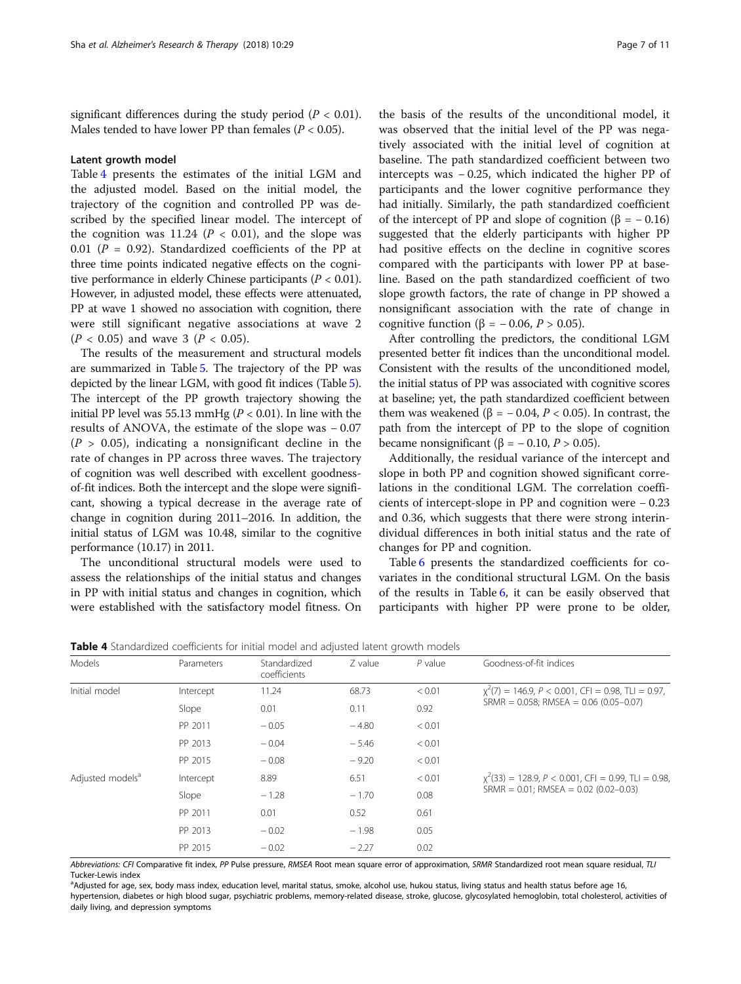significant differences during the study period ( $P < 0.01$ ). Males tended to have lower PP than females ( $P < 0.05$ ).

## Latent growth model

Table 4 presents the estimates of the initial LGM and the adjusted model. Based on the initial model, the trajectory of the cognition and controlled PP was described by the specified linear model. The intercept of the cognition was 11.24 ( $P < 0.01$ ), and the slope was 0.01 ( $P = 0.92$ ). Standardized coefficients of the PP at three time points indicated negative effects on the cognitive performance in elderly Chinese participants ( $P < 0.01$ ). However, in adjusted model, these effects were attenuated, PP at wave 1 showed no association with cognition, there were still significant negative associations at wave 2  $(P < 0.05)$  and wave 3  $(P < 0.05)$ .

The results of the measurement and structural models are summarized in Table [5](#page-7-0). The trajectory of the PP was depicted by the linear LGM, with good fit indices (Table [5](#page-7-0)). The intercept of the PP growth trajectory showing the initial PP level was 55.13 mmHg ( $P < 0.01$ ). In line with the results of ANOVA, the estimate of the slope was − 0.07  $(P > 0.05)$ , indicating a nonsignificant decline in the rate of changes in PP across three waves. The trajectory of cognition was well described with excellent goodnessof-fit indices. Both the intercept and the slope were significant, showing a typical decrease in the average rate of change in cognition during 2011–2016. In addition, the initial status of LGM was 10.48, similar to the cognitive performance (10.17) in 2011.

The unconditional structural models were used to assess the relationships of the initial status and changes in PP with initial status and changes in cognition, which were established with the satisfactory model fitness. On

the basis of the results of the unconditional model, it was observed that the initial level of the PP was negatively associated with the initial level of cognition at baseline. The path standardized coefficient between two intercepts was − 0.25, which indicated the higher PP of participants and the lower cognitive performance they had initially. Similarly, the path standardized coefficient of the intercept of PP and slope of cognition ( $\beta = -0.16$ ) suggested that the elderly participants with higher PP had positive effects on the decline in cognitive scores compared with the participants with lower PP at baseline. Based on the path standardized coefficient of two slope growth factors, the rate of change in PP showed a nonsignificant association with the rate of change in cognitive function ( $\beta$  = -0.06, P > 0.05).

After controlling the predictors, the conditional LGM presented better fit indices than the unconditional model. Consistent with the results of the unconditioned model, the initial status of PP was associated with cognitive scores at baseline; yet, the path standardized coefficient between them was weakened (β = -0.04,  $P$  < 0.05). In contrast, the path from the intercept of PP to the slope of cognition became nonsignificant ( $\beta$  = -0.10, *P* > 0.05).

Additionally, the residual variance of the intercept and slope in both PP and cognition showed significant correlations in the conditional LGM. The correlation coefficients of intercept-slope in PP and cognition were − 0.23 and 0.36, which suggests that there were strong interindividual differences in both initial status and the rate of changes for PP and cognition.

Table [6](#page-7-0) presents the standardized coefficients for covariates in the conditional structural LGM. On the basis of the results in Table [6](#page-7-0), it can be easily observed that participants with higher PP were prone to be older,

**Table 4** Standardized coefficients for initial model and adjusted latent growth models

| <b>Models</b>                | Parameters | Standardized<br>coefficients | 7 value | $P$ value | Goodness-of-fit indices                                     |
|------------------------------|------------|------------------------------|---------|-----------|-------------------------------------------------------------|
| Initial model                | Intercept  | 11.24                        | 68.73   | < 0.01    | $\chi^2(7) = 146.9$ , $P < 0.001$ , CFI = 0.98, TLI = 0.97, |
|                              | Slope      | 0.01                         | 0.11    | 0.92      | $SRMR = 0.058$ ; RMSEA = 0.06 (0.05-0.07)                   |
|                              | PP 2011    | $-0.05$                      | $-4.80$ | < 0.01    |                                                             |
|                              | PP 2013    | $-0.04$                      | $-5.46$ | < 0.01    |                                                             |
|                              | PP 2015    | $-0.08$                      | $-9.20$ | < 0.01    |                                                             |
| Adjusted models <sup>a</sup> | Intercept  | 8.89                         | 6.51    | < 0.01    | $\chi^2(33) = 128.9, P < 0.001$ , CFI = 0.99, TLI = 0.98,   |
|                              | Slope      | $-1.28$                      | $-1.70$ | 0.08      | $SRMR = 0.01$ ; RMSEA = 0.02 (0.02-0.03)                    |
|                              | PP 2011    | 0.01                         | 0.52    | 0.61      |                                                             |
|                              | PP 2013    | $-0.02$                      | $-1.98$ | 0.05      |                                                             |
|                              | PP 2015    | $-0.02$                      | $-2.27$ | 0.02      |                                                             |

Abbreviations: CFI Comparative fit index, PP Pulse pressure, RMSEA Root mean square error of approximation, SRMR Standardized root mean square residual, TLI Tucker-Lewis index

a<br>Adjusted for age, sex, body mass index, education level, marital status, smoke, alcohol use, hukou status, living status and health status before age 16, hypertension, diabetes or high blood sugar, psychiatric problems, memory-related disease, stroke, glucose, glycosylated hemoglobin, total cholesterol, activities of daily living, and depression symptoms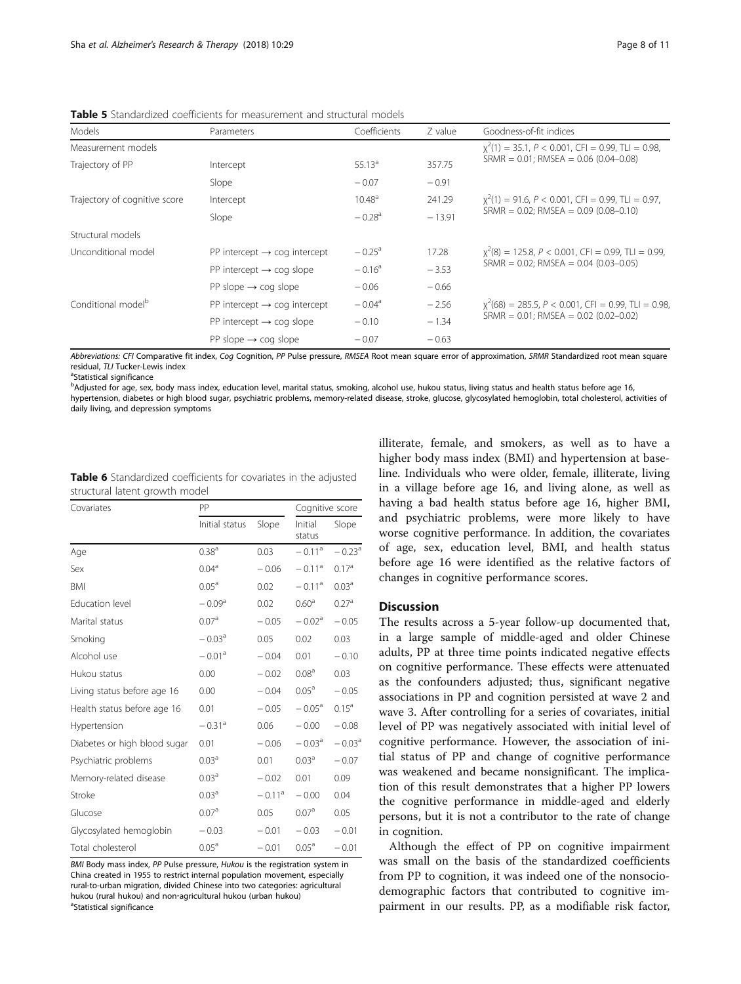<span id="page-7-0"></span>**Table 5** Standardized coefficients for measurement and structural models

| <b>Models</b>                  | Parameters                               | Coefficients         | Z value  | Goodness-of-fit indices                                      |
|--------------------------------|------------------------------------------|----------------------|----------|--------------------------------------------------------------|
| Measurement models             |                                          |                      |          | $\chi^2(1) = 35.1, P < 0.001$ , CFI = 0.99, TLI = 0.98,      |
| Trajectory of PP               | Intercept                                | 55.13 <sup>a</sup>   | 357.75   | $SRMR = 0.01$ ; RMSEA = 0.06 (0.04-0.08)                     |
|                                | Slope                                    | $-0.07$              | $-0.91$  |                                                              |
| Trajectory of cognitive score  | Intercept                                | 10.48 <sup>a</sup>   | 241.29   | $\chi^2(1) = 91.6, P < 0.001$ , CFI = 0.99, TLI = 0.97,      |
|                                | Slope                                    | $-0.28$ <sup>a</sup> | $-13.91$ | $SRMR = 0.02$ : RMSEA = 0.09 (0.08-0.10)                     |
| Structural models              |                                          |                      |          |                                                              |
| Unconditional model            | PP intercept $\rightarrow$ cog intercept | $-0.25^{\circ}$      | 17.28    | $\chi^2(8) = 125.8, P < 0.001$ , CFI = 0.99, TLI = 0.99,     |
|                                | PP intercept $\rightarrow$ cog slope     | $-0.16^a$            | $-3.53$  | $SRMR = 0.02$ ; RMSEA = 0.04 (0.03-0.05)                     |
|                                | PP slope $\rightarrow$ cog slope         | $-0.06$              | $-0.66$  |                                                              |
| Conditional model <sup>b</sup> | PP intercept $\rightarrow$ cog intercept | $-0.04^{\circ}$      | $-2.56$  | $\chi^2(68) = 285.5$ , $P < 0.001$ , CFI = 0.99, TLI = 0.98, |
|                                | PP intercept $\rightarrow$ cog slope     | $-0.10$              | $-1.34$  | $SRMR = 0.01$ ; RMSEA = 0.02 (0.02-0.02)                     |
|                                | PP slope $\rightarrow$ cog slope         | $-0.07$              | $-0.63$  |                                                              |
|                                |                                          |                      |          |                                                              |

Abbreviations: CFI Comparative fit index, Cog Cognition, PP Pulse pressure, RMSEA Root mean square error of approximation, SRMR Standardized root mean square residual, TLI Tucker-Lewis index

<sup>a</sup>Statistical significance

b<br>Adjusted for age, sex, body mass index, education level, marital status, smoking, alcohol use, hukou status, living status and health status before age 16, hypertension, diabetes or high blood sugar, psychiatric problems, memory-related disease, stroke, glucose, glycosylated hemoglobin, total cholesterol, activities of daily living, and depression symptoms

| <b>Table 6</b> Standardized coefficients for covariates in the adjusted |  |  |  |  |
|-------------------------------------------------------------------------|--|--|--|--|
| structural latent growth model                                          |  |  |  |  |

| Covariates                   | PP                   | Cognitive score      |                      |                      |
|------------------------------|----------------------|----------------------|----------------------|----------------------|
|                              | Initial status       | Slope                | Initial<br>status    | Slope                |
| Age                          | 0.38 <sup>a</sup>    | 0.03                 | $-0.11^a$            | $-0.23$ <sup>a</sup> |
| Sex                          | 0.04 <sup>a</sup>    | $-0.06$              | $-0.11$ <sup>a</sup> | 0.17 <sup>a</sup>    |
| <b>BMI</b>                   | 0.05 <sup>a</sup>    | 0.02                 | $-0.11$ <sup>a</sup> | 0.03 <sup>a</sup>    |
| Education level              | $-0.09a$             | 0.02                 | 0.60 <sup>a</sup>    | 0.27 <sup>a</sup>    |
| Marital status               | 0.07 <sup>a</sup>    | $-0.05$              | $-0.02a$             | $-0.05$              |
| Smoking                      | $-0.03^{\rm a}$      | 0.05                 | 0.02                 | 0.03                 |
| Alcohol use                  | $-0.01a$             | $-0.04$              | 0.01                 | $-0.10$              |
| Hukou status                 | 0.00                 | $-0.02$              | 0.08 <sup>a</sup>    | 0.03                 |
| Living status before age 16  | 0.00                 | $-0.04$              | $0.05^{\circ}$       | $-0.05$              |
| Health status before age 16  | 0.01                 | $-0.05$              | $-0.05^{\circ}$      | $0.15^{\circ}$       |
| Hypertension                 | $-0.31$ <sup>a</sup> | 0.06                 | $-0.00$              | $-0.08$              |
| Diabetes or high blood sugar | 0.01                 | $-0.06$              | $-0.03a$             | $-0.03^{\circ}$      |
| Psychiatric problems         | 0.03 <sup>a</sup>    | 0.01                 | 0.03 <sup>a</sup>    | $-0.07$              |
| Memory-related disease       | 0.03 <sup>a</sup>    | $-0.02$              | 0.01                 | 0.09                 |
| Stroke                       | 0.03 <sup>a</sup>    | $-0.11$ <sup>a</sup> | $-0.00$              | 0.04                 |
| Glucose                      | 0.07 <sup>a</sup>    | 0.05                 | 0.07 <sup>a</sup>    | 0.05                 |
| Glycosylated hemoglobin      | $-0.03$              | $-0.01$              | $-0.03$              | $-0.01$              |
| Total cholesterol            | 0.05 <sup>a</sup>    | $-0.01$              | 0.05 <sup>a</sup>    | $-0.01$              |

BMI Body mass index, PP Pulse pressure, Hukou is the registration system in China created in 1955 to restrict internal population movement, especially rural-to-urban migration, divided Chinese into two categories: agricultural hukou (rural hukou) and non-agricultural hukou (urban hukou) aStatistical significance

illiterate, female, and smokers, as well as to have a higher body mass index (BMI) and hypertension at baseline. Individuals who were older, female, illiterate, living in a village before age 16, and living alone, as well as having a bad health status before age 16, higher BMI, and psychiatric problems, were more likely to have worse cognitive performance. In addition, the covariates of age, sex, education level, BMI, and health status before age 16 were identified as the relative factors of changes in cognitive performance scores.

## **Discussion**

The results across a 5-year follow-up documented that, in a large sample of middle-aged and older Chinese adults, PP at three time points indicated negative effects on cognitive performance. These effects were attenuated as the confounders adjusted; thus, significant negative associations in PP and cognition persisted at wave 2 and wave 3. After controlling for a series of covariates, initial level of PP was negatively associated with initial level of cognitive performance. However, the association of initial status of PP and change of cognitive performance was weakened and became nonsignificant. The implication of this result demonstrates that a higher PP lowers the cognitive performance in middle-aged and elderly persons, but it is not a contributor to the rate of change in cognition.

Although the effect of PP on cognitive impairment was small on the basis of the standardized coefficients from PP to cognition, it was indeed one of the nonsociodemographic factors that contributed to cognitive impairment in our results. PP, as a modifiable risk factor,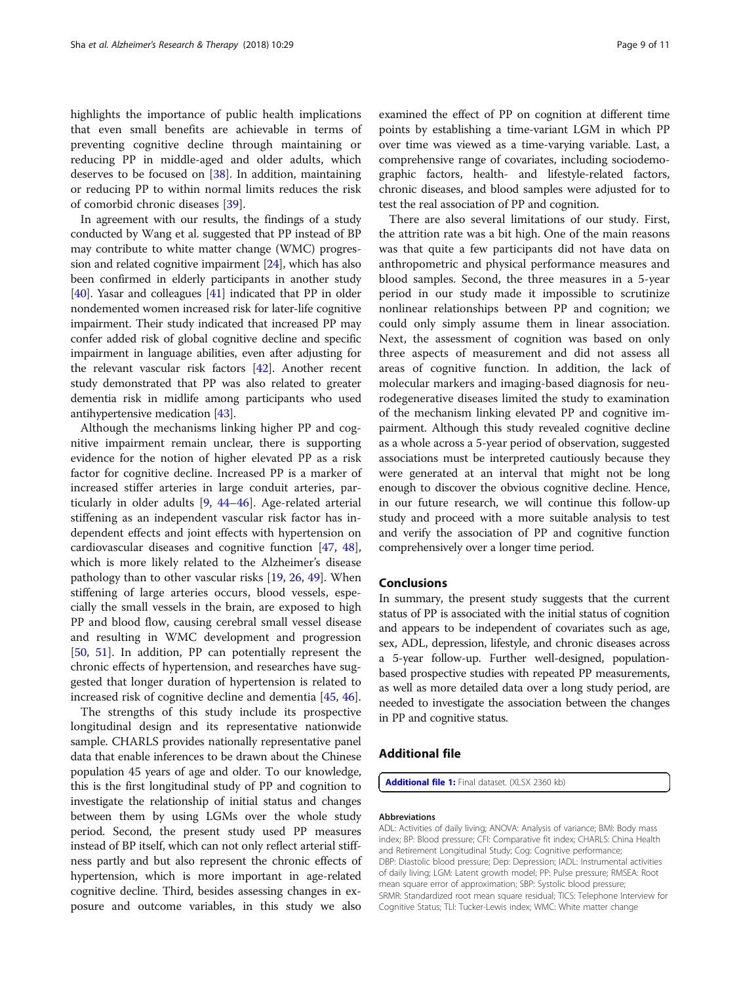<span id="page-8-0"></span>highlights the importance of public health implications that even small benefits are achievable in terms of preventing cognitive decline through maintaining or reducing PP in middle-aged and older adults, which deserves to be focused on [\[38](#page-10-0)]. In addition, maintaining or reducing PP to within normal limits reduces the risk of comorbid chronic diseases [\[39](#page-10-0)].

In agreement with our results, the findings of a study conducted by Wang et al. suggested that PP instead of BP may contribute to white matter change (WMC) progression and related cognitive impairment [[24](#page-9-0)], which has also been confirmed in elderly participants in another study [[40](#page-10-0)]. Yasar and colleagues [[41](#page-10-0)] indicated that PP in older nondemented women increased risk for later-life cognitive impairment. Their study indicated that increased PP may confer added risk of global cognitive decline and specific impairment in language abilities, even after adjusting for the relevant vascular risk factors [\[42\]](#page-10-0). Another recent study demonstrated that PP was also related to greater dementia risk in midlife among participants who used antihypertensive medication [[43\]](#page-10-0).

Although the mechanisms linking higher PP and cognitive impairment remain unclear, there is supporting evidence for the notion of higher elevated PP as a risk factor for cognitive decline. Increased PP is a marker of increased stiffer arteries in large conduit arteries, particularly in older adults [[9](#page-9-0), [44](#page-10-0)–[46](#page-10-0)]. Age-related arterial stiffening as an independent vascular risk factor has independent effects and joint effects with hypertension on cardiovascular diseases and cognitive function [\[47,](#page-10-0) [48](#page-10-0)], which is more likely related to the Alzheimer's disease pathology than to other vascular risks [[19,](#page-9-0) [26](#page-9-0), [49](#page-10-0)]. When stiffening of large arteries occurs, blood vessels, especially the small vessels in the brain, are exposed to high PP and blood flow, causing cerebral small vessel disease and resulting in WMC development and progression [[50,](#page-10-0) [51\]](#page-10-0). In addition, PP can potentially represent the chronic effects of hypertension, and researches have suggested that longer duration of hypertension is related to increased risk of cognitive decline and dementia [\[45](#page-10-0), [46](#page-10-0)].

The strengths of this study include its prospective longitudinal design and its representative nationwide sample. CHARLS provides nationally representative panel data that enable inferences to be drawn about the Chinese population 45 years of age and older. To our knowledge, this is the first longitudinal study of PP and cognition to investigate the relationship of initial status and changes between them by using LGMs over the whole study period. Second, the present study used PP measures instead of BP itself, which can not only reflect arterial stiffness partly and but also represent the chronic effects of hypertension, which is more important in age-related cognitive decline. Third, besides assessing changes in exposure and outcome variables, in this study we also

examined the effect of PP on cognition at different time points by establishing a time-variant LGM in which PP over time was viewed as a time-varying variable. Last, a comprehensive range of covariates, including sociodemographic factors, health- and lifestyle-related factors, chronic diseases, and blood samples were adjusted for to test the real association of PP and cognition.

There are also several limitations of our study. First, the attrition rate was a bit high. One of the main reasons was that quite a few participants did not have data on anthropometric and physical performance measures and blood samples. Second, the three measures in a 5-year period in our study made it impossible to scrutinize nonlinear relationships between PP and cognition; we could only simply assume them in linear association. Next, the assessment of cognition was based on only three aspects of measurement and did not assess all areas of cognitive function. In addition, the lack of molecular markers and imaging-based diagnosis for neurodegenerative diseases limited the study to examination of the mechanism linking elevated PP and cognitive impairment. Although this study revealed cognitive decline as a whole across a 5-year period of observation, suggested associations must be interpreted cautiously because they were generated at an interval that might not be long enough to discover the obvious cognitive decline. Hence, in our future research, we will continue this follow-up study and proceed with a more suitable analysis to test and verify the association of PP and cognitive function comprehensively over a longer time period.

## **Conclusions**

In summary, the present study suggests that the current status of PP is associated with the initial status of cognition and appears to be independent of covariates such as age, sex, ADL, depression, lifestyle, and chronic diseases across a 5-year follow-up. Further well-designed, populationbased prospective studies with repeated PP measurements, as well as more detailed data over a long study period, are needed to investigate the association between the changes in PP and cognitive status.

## Additional file

[Additional file 1:](https://doi.org/10.1186/s13195-018-0355-1) Final dataset. (XLSX 2360 kb)

#### Abbreviations

ADL: Activities of daily living; ANOVA: Analysis of variance; BMI: Body mass index; BP: Blood pressure; CFI: Comparative fit index; CHARLS: China Health and Retirement Longitudinal Study; Cog: Cognitive performance; DBP: Diastolic blood pressure; Dep: Depression; IADL: Instrumental activities of daily living; LGM: Latent growth model; PP: Pulse pressure; RMSEA: Root mean square error of approximation; SBP: Systolic blood pressure; SRMR: Standardized root mean square residual; TICS: Telephone Interview for Cognitive Status; TLI: Tucker-Lewis index; WMC: White matter change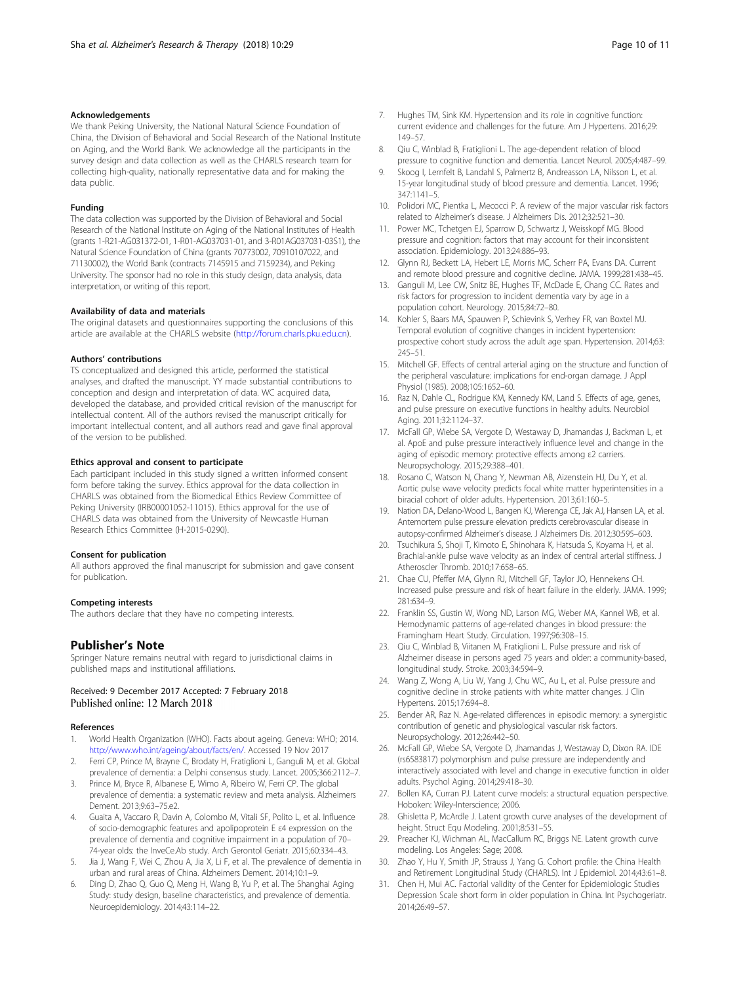## <span id="page-9-0"></span>Acknowledgements

We thank Peking University, the National Natural Science Foundation of China, the Division of Behavioral and Social Research of the National Institute on Aging, and the World Bank. We acknowledge all the participants in the survey design and data collection as well as the CHARLS research team for collecting high-quality, nationally representative data and for making the data public.

#### Funding

The data collection was supported by the Division of Behavioral and Social Research of the National Institute on Aging of the National Institutes of Health (grants 1-R21-AG031372-01, 1-R01-AG037031-01, and 3-R01AG037031-03S1), the Natural Science Foundation of China (grants 70773002, 70910107022, and 71130002), the World Bank (contracts 7145915 and 7159234), and Peking University. The sponsor had no role in this study design, data analysis, data interpretation, or writing of this report.

#### Availability of data and materials

The original datasets and questionnaires supporting the conclusions of this article are available at the CHARLS website ([http://forum.charls.pku.edu.cn\)](http://forum.charls.pku.edu.cn).

#### Authors' contributions

TS conceptualized and designed this article, performed the statistical analyses, and drafted the manuscript. YY made substantial contributions to conception and design and interpretation of data. WC acquired data, developed the database, and provided critical revision of the manuscript for intellectual content. All of the authors revised the manuscript critically for important intellectual content, and all authors read and gave final approval of the version to be published.

#### Ethics approval and consent to participate

Each participant included in this study signed a written informed consent form before taking the survey. Ethics approval for the data collection in CHARLS was obtained from the Biomedical Ethics Review Committee of Peking University (IRB00001052-11015). Ethics approval for the use of CHARLS data was obtained from the University of Newcastle Human Research Ethics Committee (H-2015-0290).

#### Consent for publication

All authors approved the final manuscript for submission and gave consent for publication.

#### Competing interests

The authors declare that they have no competing interests.

#### Publisher's Note

Springer Nature remains neutral with regard to jurisdictional claims in published maps and institutional affiliations.

## Received: 9 December 2017 Accepted: 7 February 2018 Published online: 12 March 2018

## References

- 1. World Health Organization (WHO). Facts about ageing. Geneva: WHO; 2014. [http://www.who.int/ageing/about/facts/en/](http://www.who.int/ageing/about/facts/en). Accessed 19 Nov 2017
- 2. Ferri CP, Prince M, Brayne C, Brodaty H, Fratiglioni L, Ganguli M, et al. Global prevalence of dementia: a Delphi consensus study. Lancet. 2005;366:2112–7.
- Prince M, Bryce R, Albanese E, Wimo A, Ribeiro W, Ferri CP. The global prevalence of dementia: a systematic review and meta analysis. Alzheimers Dement. 2013;9:63–75.e2.
- 4. Guaita A, Vaccaro R, Davin A, Colombo M, Vitali SF, Polito L, et al. Influence of socio-demographic features and apolipoprotein E ε4 expression on the prevalence of dementia and cognitive impairment in a population of 70– 74-year olds: the InveCe.Ab study. Arch Gerontol Geriatr. 2015;60:334–43.
- 5. Jia J, Wang F, Wei C, Zhou A, Jia X, Li F, et al. The prevalence of dementia in urban and rural areas of China. Alzheimers Dement. 2014;10:1–9.
- Ding D, Zhao Q, Guo Q, Meng H, Wang B, Yu P, et al. The Shanghai Aging Study: study design, baseline characteristics, and prevalence of dementia. Neuroepidemiology. 2014;43:114–22.
- 7. Hughes TM, Sink KM. Hypertension and its role in cognitive function: current evidence and challenges for the future. Am J Hypertens. 2016;29: 149–57.
- 8. Qiu C, Winblad B, Fratiglioni L. The age-dependent relation of blood pressure to cognitive function and dementia. Lancet Neurol. 2005;4:487–99.
- 9. Skoog I, Lernfelt B, Landahl S, Palmertz B, Andreasson LA, Nilsson L, et al. 15-year longitudinal study of blood pressure and dementia. Lancet. 1996; 347:1141–5.
- 10. Polidori MC, Pientka L, Mecocci P. A review of the major vascular risk factors related to Alzheimer's disease. J Alzheimers Dis. 2012;32:521–30.
- 11. Power MC, Tchetgen EJ, Sparrow D, Schwartz J, Weisskopf MG. Blood pressure and cognition: factors that may account for their inconsistent association. Epidemiology. 2013;24:886–93.
- 12. Glynn RJ, Beckett LA, Hebert LE, Morris MC, Scherr PA, Evans DA. Current and remote blood pressure and cognitive decline. JAMA. 1999;281:438–45.
- 13. Ganguli M, Lee CW, Snitz BE, Hughes TF, McDade E, Chang CC. Rates and risk factors for progression to incident dementia vary by age in a population cohort. Neurology. 2015;84:72–80.
- 14. Kohler S, Baars MA, Spauwen P, Schievink S, Verhey FR, van Boxtel MJ. Temporal evolution of cognitive changes in incident hypertension: prospective cohort study across the adult age span. Hypertension. 2014;63: 245–51.
- 15. Mitchell GF. Effects of central arterial aging on the structure and function of the peripheral vasculature: implications for end-organ damage. J Appl Physiol (1985). 2008;105:1652–60.
- 16. Raz N, Dahle CL, Rodrigue KM, Kennedy KM, Land S. Effects of age, genes, and pulse pressure on executive functions in healthy adults. Neurobiol Aging. 2011;32:1124–37.
- 17. McFall GP, Wiebe SA, Vergote D, Westaway D, Jhamandas J, Backman L, et al. ApoE and pulse pressure interactively influence level and change in the aging of episodic memory: protective effects among ε2 carriers. Neuropsychology. 2015;29:388–401.
- 18. Rosano C, Watson N, Chang Y, Newman AB, Aizenstein HJ, Du Y, et al. Aortic pulse wave velocity predicts focal white matter hyperintensities in a biracial cohort of older adults. Hypertension. 2013;61:160–5.
- 19. Nation DA, Delano-Wood L, Bangen KJ, Wierenga CE, Jak AJ, Hansen LA, et al. Antemortem pulse pressure elevation predicts cerebrovascular disease in autopsy-confirmed Alzheimer's disease. J Alzheimers Dis. 2012;30:595–603.
- 20. Tsuchikura S, Shoji T, Kimoto E, Shinohara K, Hatsuda S, Koyama H, et al. Brachial-ankle pulse wave velocity as an index of central arterial stiffness. J Atheroscler Thromb. 2010;17:658–65.
- 21. Chae CU, Pfeffer MA, Glynn RJ, Mitchell GF, Taylor JO, Hennekens CH. Increased pulse pressure and risk of heart failure in the elderly. JAMA. 1999; 281:634–9.
- 22. Franklin SS, Gustin W, Wong ND, Larson MG, Weber MA, Kannel WB, et al. Hemodynamic patterns of age-related changes in blood pressure: the Framingham Heart Study. Circulation. 1997;96:308–15.
- 23. Qiu C, Winblad B, Viitanen M, Fratiglioni L. Pulse pressure and risk of Alzheimer disease in persons aged 75 years and older: a community-based, longitudinal study. Stroke. 2003;34:594–9.
- 24. Wang Z, Wong A, Liu W, Yang J, Chu WC, Au L, et al. Pulse pressure and cognitive decline in stroke patients with white matter changes. J Clin Hypertens. 2015;17:694–8.
- 25. Bender AR, Raz N. Age-related differences in episodic memory: a synergistic contribution of genetic and physiological vascular risk factors. Neuropsychology. 2012;26:442–50.
- 26. McFall GP, Wiebe SA, Vergote D, Jhamandas J, Westaway D, Dixon RA. IDE (rs6583817) polymorphism and pulse pressure are independently and interactively associated with level and change in executive function in older adults. Psychol Aging. 2014;29:418–30.
- 27. Bollen KA, Curran PJ. Latent curve models: a structural equation perspective. Hoboken: Wiley-Interscience; 2006.
- 28. Ghisletta P, McArdle J. Latent growth curve analyses of the development of height. Struct Equ Modeling. 2001;8:531–55.
- 29. Preacher KJ, Wichman AL, MacCallum RC, Briggs NE. Latent growth curve modeling. Los Angeles: Sage; 2008.
- 30. Zhao Y, Hu Y, Smith JP, Strauss J, Yang G. Cohort profile: the China Health and Retirement Longitudinal Study (CHARLS). Int J Epidemiol. 2014;43:61–8.
- 31. Chen H, Mui AC. Factorial validity of the Center for Epidemiologic Studies Depression Scale short form in older population in China. Int Psychogeriatr. 2014;26:49–57.